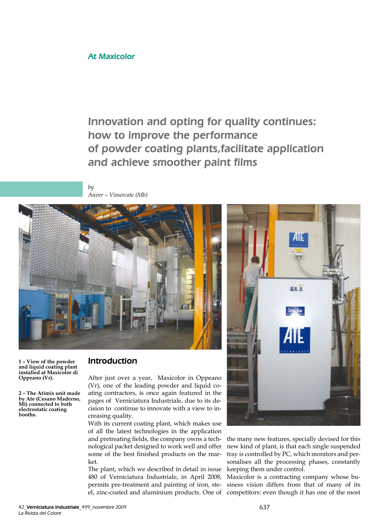## At Maxicolor

Innovation and opting for quality continues: how to improve the performance of powder coating plants,facilitate application and achieve smoother paint films

*by Anver – Vimercate (Mb)*



**1 – View of the powder and liquid coating plant installed at Maxicolor di Oppeano (Vr).**

**2 – The Atimix unit made by Ate (Cesano Maderno, Mi) connected to both electrostatic coating booths.**

## Introduction

After just over a year, Maxicolor in Oppeano (Vr), one of the leading powder and liquid coating contractors, is once again featured in the pages of Verniciatura Industriale, due to its decision to continue to innovate with a view to increasing quality.

With its current coating plant, which makes use of all the latest technologies in the application and pretreating fields, the company owns a technological packet designed to work well and offer some of the best finished products on the market.

The plant, which we described in detail in issue 480 of Verniciatura Industriale, in April 2008, permits pre-treatment and painting of iron, steel, zinc-coated and aluminium products. One of



the many new features, specially devised for this new kind of plant, is that each single suspended tray is controlled by PC, which monitors and personalises all the processing phases, constantly keeping them under control.

Maxicolor is a contracting company whose business vision differs from that of many of its competitors: even though it has one of the most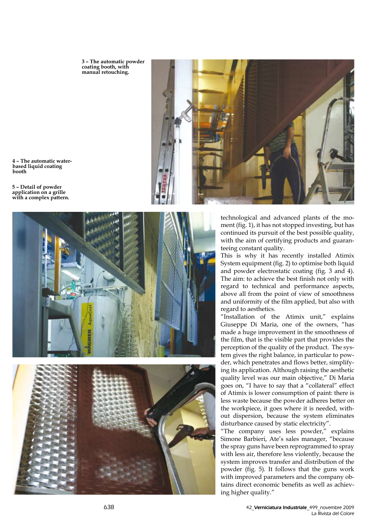**3 – The automatic powder coating booth, with manual retouching.**



**4 – The automatic waterbased liquid coating booth** 

**5 – Detail of powder application on a grille with a complex pattern.**





technological and advanced plants of the moment (fig. 1), it has not stopped investing, but has continued its pursuit of the best possible quality, with the aim of certifying products and guaranteeing constant quality.

This is why it has recently installed Atimix System equipment (fig. 2) to optimise both liquid and powder electrostatic coating (fig. 3 and 4). The aim: to achieve the best finish not only with regard to technical and performance aspects, above all from the point of view of smoothness and uniformity of the film applied, but also with regard to aesthetics.

"Installation of the Atimix unit," explains Giuseppe Di Maria, one of the owners, "has made a huge improvement in the smoothness of the film, that is the visible part that provides the perception of the quality of the product. The system gives the right balance, in particular to powder, which penetrates and flows better, simplifying its application. Although raising the aesthetic quality level was our main objective," Di Maria goes on, "I have to say that a "collateral" effect of Atimix is lower consumption of paint: there is less waste because the powder adheres better on the workpiece, it goes where it is needed, without dispersion, because the system eliminates disturbance caused by static electricity".

"The company uses less powder," explains Simone Barbieri, Ate's sales manager, "because the spray guns have been reprogrammed to spray with less air, therefore less violently, because the system improves transfer and distribution of the powder (fig. 5). It follows that the guns work with improved parameters and the company obtains direct economic benefits as well as achieving higher quality."